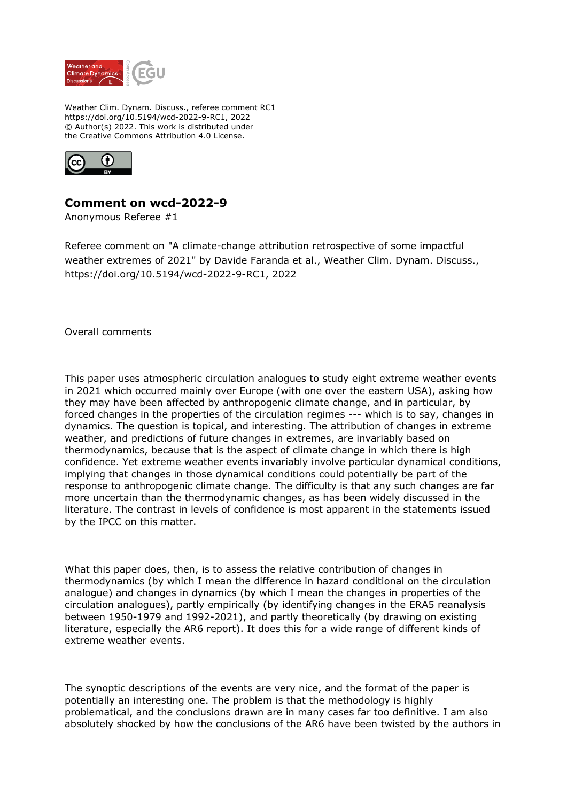

Weather Clim. Dynam. Discuss., referee comment RC1 https://doi.org/10.5194/wcd-2022-9-RC1, 2022 © Author(s) 2022. This work is distributed under the Creative Commons Attribution 4.0 License.



## **Comment on wcd-2022-9**

Anonymous Referee #1

Referee comment on "A climate-change attribution retrospective of some impactful weather extremes of 2021" by Davide Faranda et al., Weather Clim. Dynam. Discuss., https://doi.org/10.5194/wcd-2022-9-RC1, 2022

Overall comments

This paper uses atmospheric circulation analogues to study eight extreme weather events in 2021 which occurred mainly over Europe (with one over the eastern USA), asking how they may have been affected by anthropogenic climate change, and in particular, by forced changes in the properties of the circulation regimes --- which is to say, changes in dynamics. The question is topical, and interesting. The attribution of changes in extreme weather, and predictions of future changes in extremes, are invariably based on thermodynamics, because that is the aspect of climate change in which there is high confidence. Yet extreme weather events invariably involve particular dynamical conditions, implying that changes in those dynamical conditions could potentially be part of the response to anthropogenic climate change. The difficulty is that any such changes are far more uncertain than the thermodynamic changes, as has been widely discussed in the literature. The contrast in levels of confidence is most apparent in the statements issued by the IPCC on this matter.

What this paper does, then, is to assess the relative contribution of changes in thermodynamics (by which I mean the difference in hazard conditional on the circulation analogue) and changes in dynamics (by which I mean the changes in properties of the circulation analogues), partly empirically (by identifying changes in the ERA5 reanalysis between 1950-1979 and 1992-2021), and partly theoretically (by drawing on existing literature, especially the AR6 report). It does this for a wide range of different kinds of extreme weather events.

The synoptic descriptions of the events are very nice, and the format of the paper is potentially an interesting one. The problem is that the methodology is highly problematical, and the conclusions drawn are in many cases far too definitive. I am also absolutely shocked by how the conclusions of the AR6 have been twisted by the authors in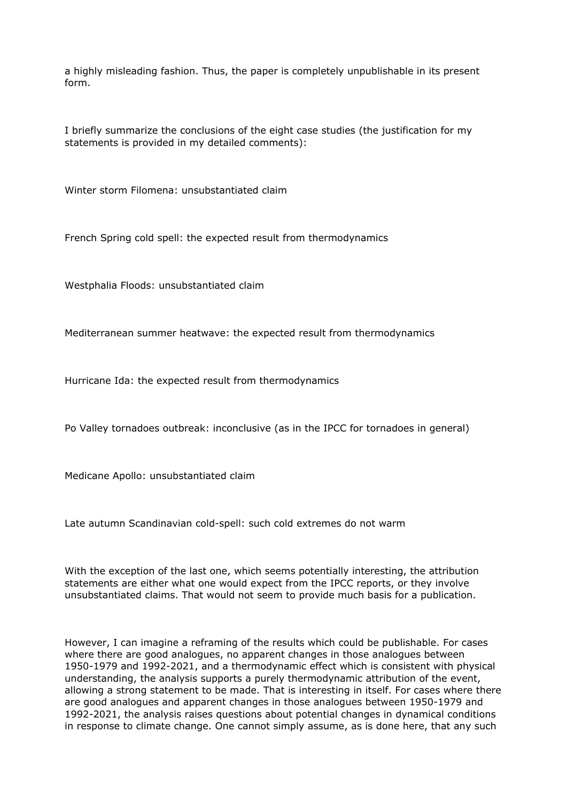a highly misleading fashion. Thus, the paper is completely unpublishable in its present form.

I briefly summarize the conclusions of the eight case studies (the justification for my statements is provided in my detailed comments):

Winter storm Filomena: unsubstantiated claim

French Spring cold spell: the expected result from thermodynamics

Westphalia Floods: unsubstantiated claim

Mediterranean summer heatwave: the expected result from thermodynamics

Hurricane Ida: the expected result from thermodynamics

Po Valley tornadoes outbreak: inconclusive (as in the IPCC for tornadoes in general)

Medicane Apollo: unsubstantiated claim

Late autumn Scandinavian cold-spell: such cold extremes do not warm

With the exception of the last one, which seems potentially interesting, the attribution statements are either what one would expect from the IPCC reports, or they involve unsubstantiated claims. That would not seem to provide much basis for a publication.

However, I can imagine a reframing of the results which could be publishable. For cases where there are good analogues, no apparent changes in those analogues between 1950-1979 and 1992-2021, and a thermodynamic effect which is consistent with physical understanding, the analysis supports a purely thermodynamic attribution of the event, allowing a strong statement to be made. That is interesting in itself. For cases where there are good analogues and apparent changes in those analogues between 1950-1979 and 1992-2021, the analysis raises questions about potential changes in dynamical conditions in response to climate change. One cannot simply assume, as is done here, that any such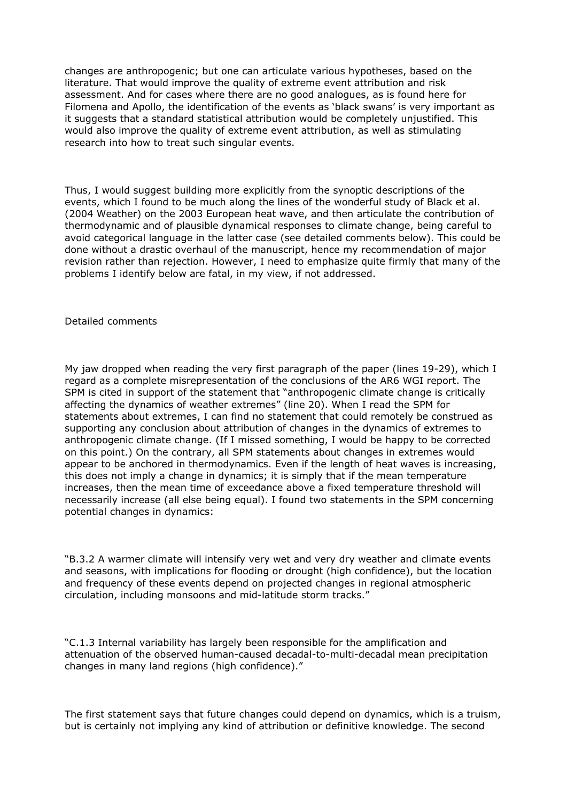changes are anthropogenic; but one can articulate various hypotheses, based on the literature. That would improve the quality of extreme event attribution and risk assessment. And for cases where there are no good analogues, as is found here for Filomena and Apollo, the identification of the events as 'black swans' is very important as it suggests that a standard statistical attribution would be completely unjustified. This would also improve the quality of extreme event attribution, as well as stimulating research into how to treat such singular events.

Thus, I would suggest building more explicitly from the synoptic descriptions of the events, which I found to be much along the lines of the wonderful study of Black et al. (2004 Weather) on the 2003 European heat wave, and then articulate the contribution of thermodynamic and of plausible dynamical responses to climate change, being careful to avoid categorical language in the latter case (see detailed comments below). This could be done without a drastic overhaul of the manuscript, hence my recommendation of major revision rather than rejection. However, I need to emphasize quite firmly that many of the problems I identify below are fatal, in my view, if not addressed.

Detailed comments

My jaw dropped when reading the very first paragraph of the paper (lines 19-29), which I regard as a complete misrepresentation of the conclusions of the AR6 WGI report. The SPM is cited in support of the statement that "anthropogenic climate change is critically affecting the dynamics of weather extremes" (line 20). When I read the SPM for statements about extremes, I can find no statement that could remotely be construed as supporting any conclusion about attribution of changes in the dynamics of extremes to anthropogenic climate change. (If I missed something, I would be happy to be corrected on this point.) On the contrary, all SPM statements about changes in extremes would appear to be anchored in thermodynamics. Even if the length of heat waves is increasing, this does not imply a change in dynamics; it is simply that if the mean temperature increases, then the mean time of exceedance above a fixed temperature threshold will necessarily increase (all else being equal). I found two statements in the SPM concerning potential changes in dynamics:

"B.3.2 A warmer climate will intensify very wet and very dry weather and climate events and seasons, with implications for flooding or drought (high confidence), but the location and frequency of these events depend on projected changes in regional atmospheric circulation, including monsoons and mid-latitude storm tracks."

"C.1.3 Internal variability has largely been responsible for the amplification and attenuation of the observed human-caused decadal-to-multi-decadal mean precipitation changes in many land regions (high confidence)."

The first statement says that future changes could depend on dynamics, which is a truism, but is certainly not implying any kind of attribution or definitive knowledge. The second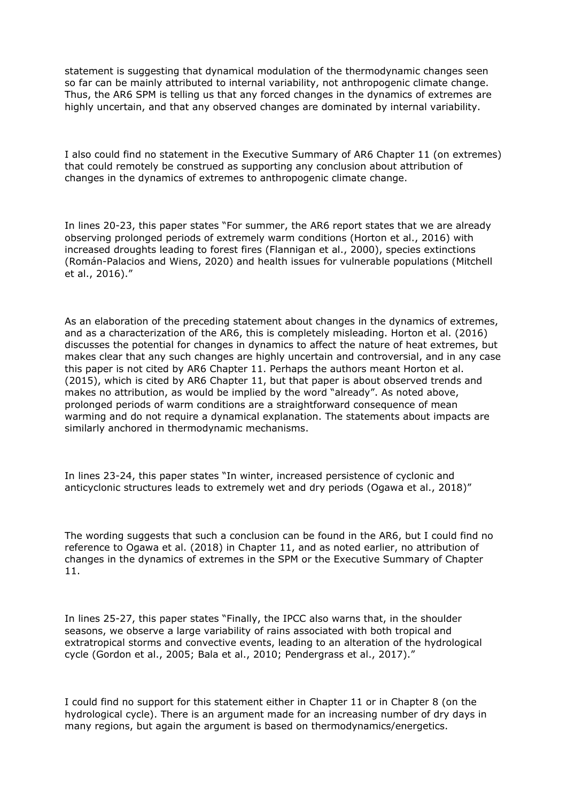statement is suggesting that dynamical modulation of the thermodynamic changes seen so far can be mainly attributed to internal variability, not anthropogenic climate change. Thus, the AR6 SPM is telling us that any forced changes in the dynamics of extremes are highly uncertain, and that any observed changes are dominated by internal variability.

I also could find no statement in the Executive Summary of AR6 Chapter 11 (on extremes) that could remotely be construed as supporting any conclusion about attribution of changes in the dynamics of extremes to anthropogenic climate change.

In lines 20-23, this paper states "For summer, the AR6 report states that we are already observing prolonged periods of extremely warm conditions (Horton et al., 2016) with increased droughts leading to forest fires (Flannigan et al., 2000), species extinctions (Román-Palacios and Wiens, 2020) and health issues for vulnerable populations (Mitchell et al., 2016)."

As an elaboration of the preceding statement about changes in the dynamics of extremes, and as a characterization of the AR6, this is completely misleading. Horton et al. (2016) discusses the potential for changes in dynamics to affect the nature of heat extremes, but makes clear that any such changes are highly uncertain and controversial, and in any case this paper is not cited by AR6 Chapter 11. Perhaps the authors meant Horton et al. (2015), which is cited by AR6 Chapter 11, but that paper is about observed trends and makes no attribution, as would be implied by the word "already". As noted above, prolonged periods of warm conditions are a straightforward consequence of mean warming and do not require a dynamical explanation. The statements about impacts are similarly anchored in thermodynamic mechanisms.

In lines 23-24, this paper states "In winter, increased persistence of cyclonic and anticyclonic structures leads to extremely wet and dry periods (Ogawa et al., 2018)"

The wording suggests that such a conclusion can be found in the AR6, but I could find no reference to Ogawa et al. (2018) in Chapter 11, and as noted earlier, no attribution of changes in the dynamics of extremes in the SPM or the Executive Summary of Chapter 11.

In lines 25-27, this paper states "Finally, the IPCC also warns that, in the shoulder seasons, we observe a large variability of rains associated with both tropical and extratropical storms and convective events, leading to an alteration of the hydrological cycle (Gordon et al., 2005; Bala et al., 2010; Pendergrass et al., 2017)."

I could find no support for this statement either in Chapter 11 or in Chapter 8 (on the hydrological cycle). There is an argument made for an increasing number of dry days in many regions, but again the argument is based on thermodynamics/energetics.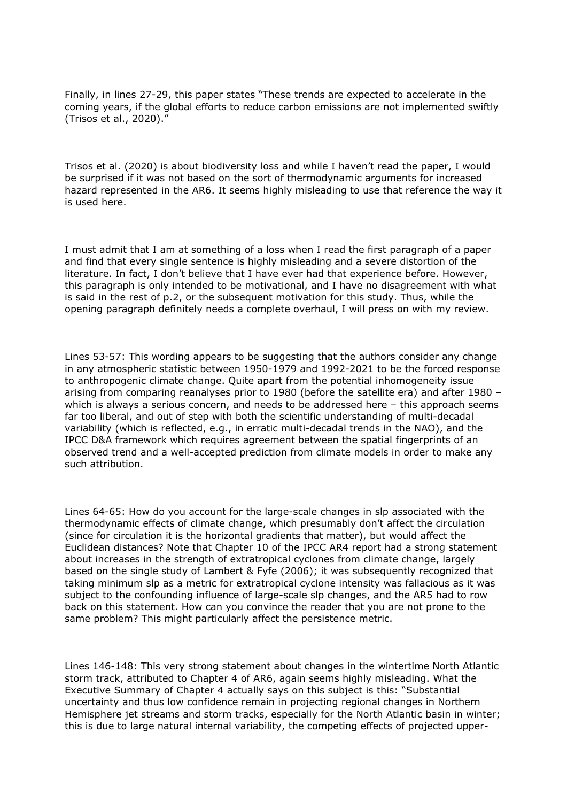Finally, in lines 27-29, this paper states "These trends are expected to accelerate in the coming years, if the global efforts to reduce carbon emissions are not implemented swiftly (Trisos et al., 2020)."

Trisos et al. (2020) is about biodiversity loss and while I haven't read the paper, I would be surprised if it was not based on the sort of thermodynamic arguments for increased hazard represented in the AR6. It seems highly misleading to use that reference the way it is used here.

I must admit that I am at something of a loss when I read the first paragraph of a paper and find that every single sentence is highly misleading and a severe distortion of the literature. In fact, I don't believe that I have ever had that experience before. However, this paragraph is only intended to be motivational, and I have no disagreement with what is said in the rest of p.2, or the subsequent motivation for this study. Thus, while the opening paragraph definitely needs a complete overhaul, I will press on with my review.

Lines 53-57: This wording appears to be suggesting that the authors consider any change in any atmospheric statistic between 1950-1979 and 1992-2021 to be the forced response to anthropogenic climate change. Quite apart from the potential inhomogeneity issue arising from comparing reanalyses prior to 1980 (before the satellite era) and after 1980 – which is always a serious concern, and needs to be addressed here – this approach seems far too liberal, and out of step with both the scientific understanding of multi-decadal variability (which is reflected, e.g., in erratic multi-decadal trends in the NAO), and the IPCC D&A framework which requires agreement between the spatial fingerprints of an observed trend and a well-accepted prediction from climate models in order to make any such attribution.

Lines 64-65: How do you account for the large-scale changes in slp associated with the thermodynamic effects of climate change, which presumably don't affect the circulation (since for circulation it is the horizontal gradients that matter), but would affect the Euclidean distances? Note that Chapter 10 of the IPCC AR4 report had a strong statement about increases in the strength of extratropical cyclones from climate change, largely based on the single study of Lambert & Fyfe (2006); it was subsequently recognized that taking minimum slp as a metric for extratropical cyclone intensity was fallacious as it was subject to the confounding influence of large-scale slp changes, and the AR5 had to row back on this statement. How can you convince the reader that you are not prone to the same problem? This might particularly affect the persistence metric.

Lines 146-148: This very strong statement about changes in the wintertime North Atlantic storm track, attributed to Chapter 4 of AR6, again seems highly misleading. What the Executive Summary of Chapter 4 actually says on this subject is this: "Substantial uncertainty and thus low confidence remain in projecting regional changes in Northern Hemisphere jet streams and storm tracks, especially for the North Atlantic basin in winter; this is due to large natural internal variability, the competing effects of projected upper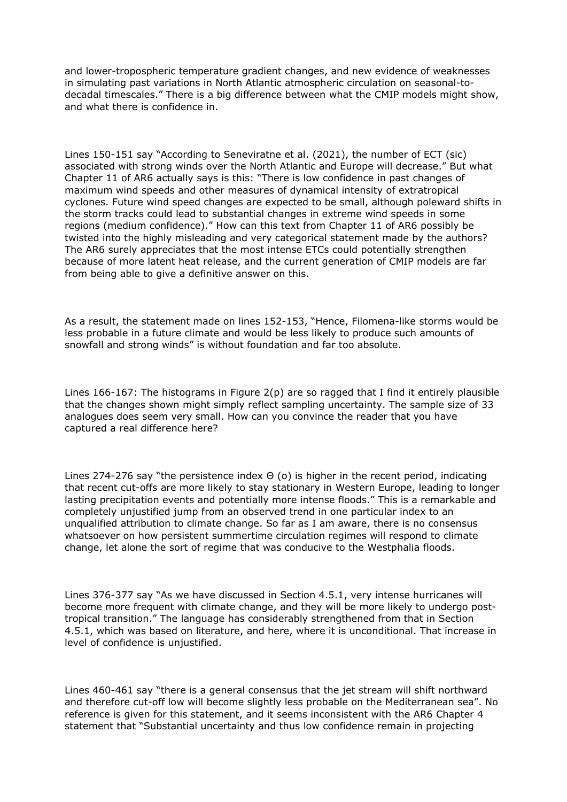and lower-tropospheric temperature gradient changes, and new evidence of weaknesses in simulating past variations in North Atlantic atmospheric circulation on seasonal-todecadal timescales." There is a big difference between what the CMIP models might show, and what there is confidence in.

Lines 150-151 say "According to Seneviratne et al. (2021), the number of ECT (sic) associated with strong winds over the North Atlantic and Europe will decrease." But what Chapter 11 of AR6 actually says is this: "There is low confidence in past changes of maximum wind speeds and other measures of dynamical intensity of extratropical cyclones. Future wind speed changes are expected to be small, although poleward shifts in the storm tracks could lead to substantial changes in extreme wind speeds in some regions (medium confidence)." How can this text from Chapter 11 of AR6 possibly be twisted into the highly misleading and very categorical statement made by the authors? The AR6 surely appreciates that the most intense ETCs could potentially strengthen because of more latent heat release, and the current generation of CMIP models are far from being able to give a definitive answer on this.

As a result, the statement made on lines 152-153, "Hence, Filomena-like storms would be less probable in a future climate and would be less likely to produce such amounts of snowfall and strong winds" is without foundation and far too absolute.

Lines 166-167: The histograms in Figure 2(p) are so ragged that I find it entirely plausible that the changes shown might simply reflect sampling uncertainty. The sample size of 33 analogues does seem very small. How can you convince the reader that you have captured a real difference here?

Lines 274-276 say "the persistence index Θ (o) is higher in the recent period, indicating that recent cut-offs are more likely to stay stationary in Western Europe, leading to longer lasting precipitation events and potentially more intense floods." This is a remarkable and completely unjustified jump from an observed trend in one particular index to an unqualified attribution to climate change. So far as I am aware, there is no consensus whatsoever on how persistent summertime circulation regimes will respond to climate change, let alone the sort of regime that was conducive to the Westphalia floods.

Lines 376-377 say "As we have discussed in Section 4.5.1, very intense hurricanes will become more frequent with climate change, and they will be more likely to undergo posttropical transition." The language has considerably strengthened from that in Section 4.5.1, which was based on literature, and here, where it is unconditional. That increase in level of confidence is unjustified.

Lines 460-461 say "there is a general consensus that the jet stream will shift northward and therefore cut-off low will become slightly less probable on the Mediterranean sea". No reference is given for this statement, and it seems inconsistent with the AR6 Chapter 4 statement that "Substantial uncertainty and thus low confidence remain in projecting